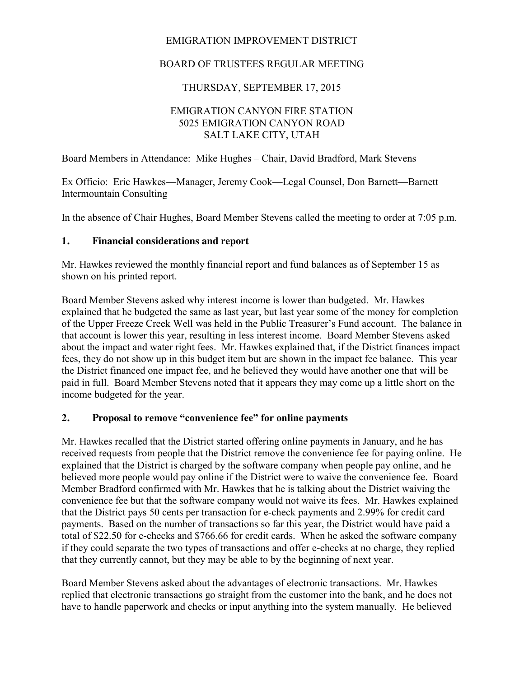## EMIGRATION IMPROVEMENT DISTRICT

## BOARD OF TRUSTEES REGULAR MEETING

### THURSDAY, SEPTEMBER 17, 2015

### EMIGRATION CANYON FIRE STATION 5025 EMIGRATION CANYON ROAD SALT LAKE CITY, UTAH

Board Members in Attendance: Mike Hughes – Chair, David Bradford, Mark Stevens

Ex Officio: Eric Hawkes—Manager, Jeremy Cook—Legal Counsel, Don Barnett—Barnett Intermountain Consulting

In the absence of Chair Hughes, Board Member Stevens called the meeting to order at 7:05 p.m.

#### **1. Financial considerations and report**

Mr. Hawkes reviewed the monthly financial report and fund balances as of September 15 as shown on his printed report.

Board Member Stevens asked why interest income is lower than budgeted. Mr. Hawkes explained that he budgeted the same as last year, but last year some of the money for completion of the Upper Freeze Creek Well was held in the Public Treasurer's Fund account. The balance in that account is lower this year, resulting in less interest income. Board Member Stevens asked about the impact and water right fees. Mr. Hawkes explained that, if the District finances impact fees, they do not show up in this budget item but are shown in the impact fee balance. This year the District financed one impact fee, and he believed they would have another one that will be paid in full. Board Member Stevens noted that it appears they may come up a little short on the income budgeted for the year.

### **2. Proposal to remove "convenience fee" for online payments**

Mr. Hawkes recalled that the District started offering online payments in January, and he has received requests from people that the District remove the convenience fee for paying online. He explained that the District is charged by the software company when people pay online, and he believed more people would pay online if the District were to waive the convenience fee. Board Member Bradford confirmed with Mr. Hawkes that he is talking about the District waiving the convenience fee but that the software company would not waive its fees. Mr. Hawkes explained that the District pays 50 cents per transaction for e-check payments and 2.99% for credit card payments. Based on the number of transactions so far this year, the District would have paid a total of \$22.50 for e-checks and \$766.66 for credit cards. When he asked the software company if they could separate the two types of transactions and offer e-checks at no charge, they replied that they currently cannot, but they may be able to by the beginning of next year.

Board Member Stevens asked about the advantages of electronic transactions. Mr. Hawkes replied that electronic transactions go straight from the customer into the bank, and he does not have to handle paperwork and checks or input anything into the system manually. He believed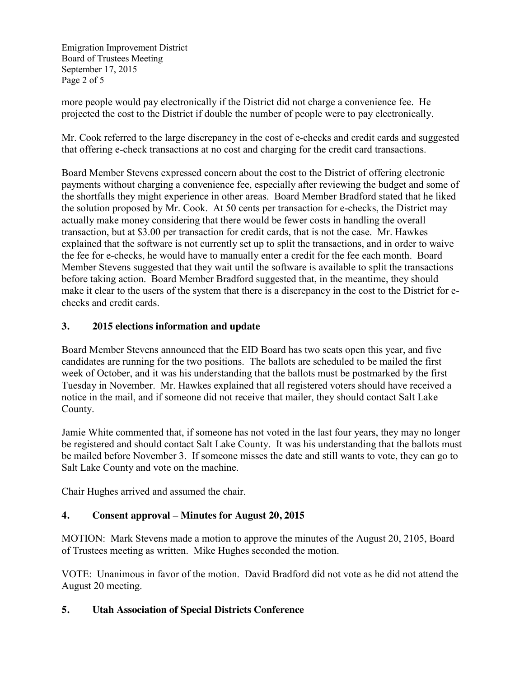Emigration Improvement District Board of Trustees Meeting September 17, 2015 Page 2 of 5

more people would pay electronically if the District did not charge a convenience fee. He projected the cost to the District if double the number of people were to pay electronically.

Mr. Cook referred to the large discrepancy in the cost of e-checks and credit cards and suggested that offering e-check transactions at no cost and charging for the credit card transactions.

Board Member Stevens expressed concern about the cost to the District of offering electronic payments without charging a convenience fee, especially after reviewing the budget and some of the shortfalls they might experience in other areas. Board Member Bradford stated that he liked the solution proposed by Mr. Cook. At 50 cents per transaction for e-checks, the District may actually make money considering that there would be fewer costs in handling the overall transaction, but at \$3.00 per transaction for credit cards, that is not the case. Mr. Hawkes explained that the software is not currently set up to split the transactions, and in order to waive the fee for e-checks, he would have to manually enter a credit for the fee each month. Board Member Stevens suggested that they wait until the software is available to split the transactions before taking action. Board Member Bradford suggested that, in the meantime, they should make it clear to the users of the system that there is a discrepancy in the cost to the District for echecks and credit cards.

### **3. 2015 elections information and update**

Board Member Stevens announced that the EID Board has two seats open this year, and five candidates are running for the two positions. The ballots are scheduled to be mailed the first week of October, and it was his understanding that the ballots must be postmarked by the first Tuesday in November. Mr. Hawkes explained that all registered voters should have received a notice in the mail, and if someone did not receive that mailer, they should contact Salt Lake County.

Jamie White commented that, if someone has not voted in the last four years, they may no longer be registered and should contact Salt Lake County. It was his understanding that the ballots must be mailed before November 3. If someone misses the date and still wants to vote, they can go to Salt Lake County and vote on the machine.

Chair Hughes arrived and assumed the chair.

# **4. Consent approval – Minutes for August 20, 2015**

MOTION: Mark Stevens made a motion to approve the minutes of the August 20, 2105, Board of Trustees meeting as written. Mike Hughes seconded the motion.

VOTE: Unanimous in favor of the motion. David Bradford did not vote as he did not attend the August 20 meeting.

### **5. Utah Association of Special Districts Conference**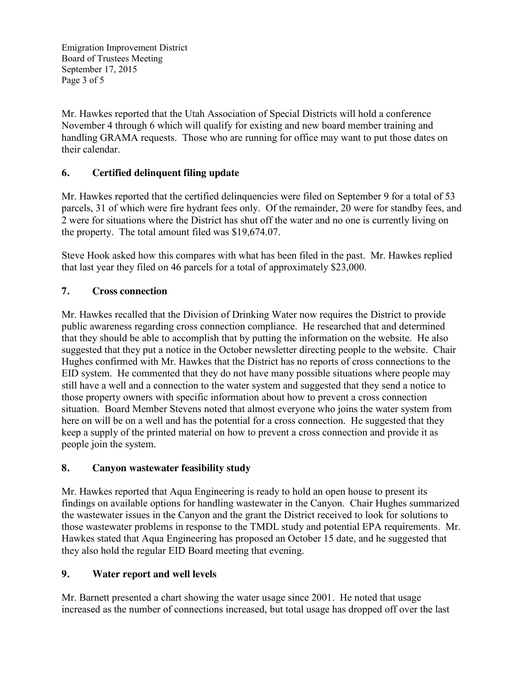Emigration Improvement District Board of Trustees Meeting September 17, 2015 Page 3 of 5

Mr. Hawkes reported that the Utah Association of Special Districts will hold a conference November 4 through 6 which will qualify for existing and new board member training and handling GRAMA requests. Those who are running for office may want to put those dates on their calendar.

### **6. Certified delinquent filing update**

Mr. Hawkes reported that the certified delinquencies were filed on September 9 for a total of 53 parcels, 31 of which were fire hydrant fees only. Of the remainder, 20 were for standby fees, and 2 were for situations where the District has shut off the water and no one is currently living on the property. The total amount filed was \$19,674.07.

Steve Hook asked how this compares with what has been filed in the past. Mr. Hawkes replied that last year they filed on 46 parcels for a total of approximately \$23,000.

### **7. Cross connection**

Mr. Hawkes recalled that the Division of Drinking Water now requires the District to provide public awareness regarding cross connection compliance. He researched that and determined that they should be able to accomplish that by putting the information on the website. He also suggested that they put a notice in the October newsletter directing people to the website. Chair Hughes confirmed with Mr. Hawkes that the District has no reports of cross connections to the EID system. He commented that they do not have many possible situations where people may still have a well and a connection to the water system and suggested that they send a notice to those property owners with specific information about how to prevent a cross connection situation. Board Member Stevens noted that almost everyone who joins the water system from here on will be on a well and has the potential for a cross connection. He suggested that they keep a supply of the printed material on how to prevent a cross connection and provide it as people join the system.

### **8. Canyon wastewater feasibility study**

Mr. Hawkes reported that Aqua Engineering is ready to hold an open house to present its findings on available options for handling wastewater in the Canyon. Chair Hughes summarized the wastewater issues in the Canyon and the grant the District received to look for solutions to those wastewater problems in response to the TMDL study and potential EPA requirements. Mr. Hawkes stated that Aqua Engineering has proposed an October 15 date, and he suggested that they also hold the regular EID Board meeting that evening.

### **9. Water report and well levels**

Mr. Barnett presented a chart showing the water usage since 2001. He noted that usage increased as the number of connections increased, but total usage has dropped off over the last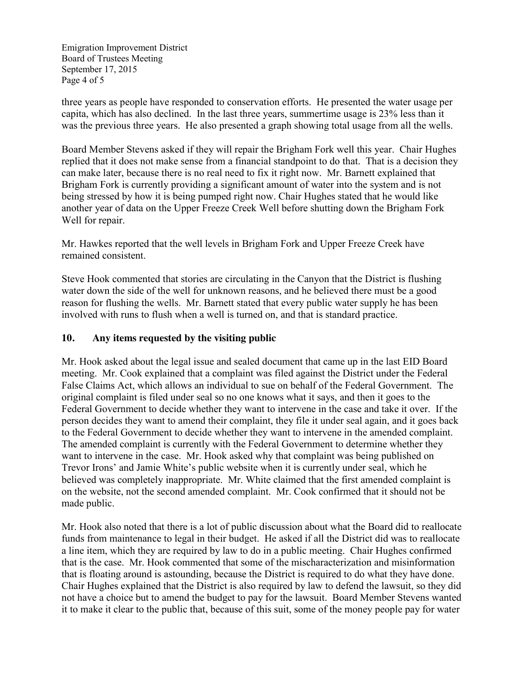Emigration Improvement District Board of Trustees Meeting September 17, 2015 Page 4 of 5

three years as people have responded to conservation efforts. He presented the water usage per capita, which has also declined. In the last three years, summertime usage is 23% less than it was the previous three years. He also presented a graph showing total usage from all the wells.

Board Member Stevens asked if they will repair the Brigham Fork well this year. Chair Hughes replied that it does not make sense from a financial standpoint to do that. That is a decision they can make later, because there is no real need to fix it right now. Mr. Barnett explained that Brigham Fork is currently providing a significant amount of water into the system and is not being stressed by how it is being pumped right now. Chair Hughes stated that he would like another year of data on the Upper Freeze Creek Well before shutting down the Brigham Fork Well for repair.

Mr. Hawkes reported that the well levels in Brigham Fork and Upper Freeze Creek have remained consistent.

Steve Hook commented that stories are circulating in the Canyon that the District is flushing water down the side of the well for unknown reasons, and he believed there must be a good reason for flushing the wells. Mr. Barnett stated that every public water supply he has been involved with runs to flush when a well is turned on, and that is standard practice.

### **10. Any items requested by the visiting public**

Mr. Hook asked about the legal issue and sealed document that came up in the last EID Board meeting. Mr. Cook explained that a complaint was filed against the District under the Federal False Claims Act, which allows an individual to sue on behalf of the Federal Government. The original complaint is filed under seal so no one knows what it says, and then it goes to the Federal Government to decide whether they want to intervene in the case and take it over. If the person decides they want to amend their complaint, they file it under seal again, and it goes back to the Federal Government to decide whether they want to intervene in the amended complaint. The amended complaint is currently with the Federal Government to determine whether they want to intervene in the case. Mr. Hook asked why that complaint was being published on Trevor Irons' and Jamie White's public website when it is currently under seal, which he believed was completely inappropriate. Mr. White claimed that the first amended complaint is on the website, not the second amended complaint. Mr. Cook confirmed that it should not be made public.

Mr. Hook also noted that there is a lot of public discussion about what the Board did to reallocate funds from maintenance to legal in their budget. He asked if all the District did was to reallocate a line item, which they are required by law to do in a public meeting. Chair Hughes confirmed that is the case. Mr. Hook commented that some of the mischaracterization and misinformation that is floating around is astounding, because the District is required to do what they have done. Chair Hughes explained that the District is also required by law to defend the lawsuit, so they did not have a choice but to amend the budget to pay for the lawsuit. Board Member Stevens wanted it to make it clear to the public that, because of this suit, some of the money people pay for water